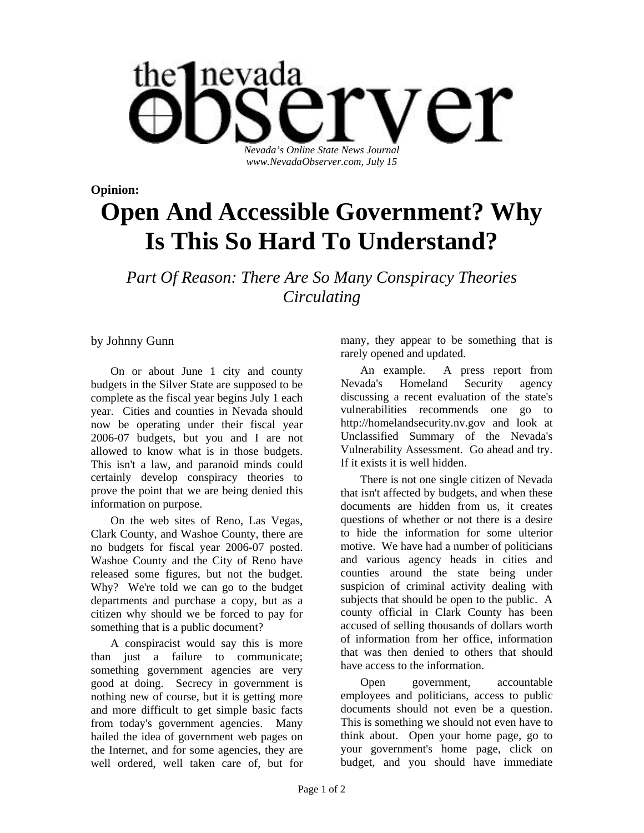

**Opinion:** 

## **Open And Accessible Government? Why Is This So Hard To Understand?**

*Part Of Reason: There Are So Many Conspiracy Theories Circulating* 

by Johnny Gunn

On or about June 1 city and county budgets in the Silver State are supposed to be complete as the fiscal year begins July 1 each year. Cities and counties in Nevada should now be operating under their fiscal year 2006-07 budgets, but you and I are not allowed to know what is in those budgets. This isn't a law, and paranoid minds could certainly develop conspiracy theories to prove the point that we are being denied this information on purpose.

On the web sites of Reno, Las Vegas, Clark County, and Washoe County, there are no budgets for fiscal year 2006-07 posted. Washoe County and the City of Reno have released some figures, but not the budget. Why? We're told we can go to the budget departments and purchase a copy, but as a citizen why should we be forced to pay for something that is a public document?

A conspiracist would say this is more than just a failure to communicate; something government agencies are very good at doing. Secrecy in government is nothing new of course, but it is getting more and more difficult to get simple basic facts from today's government agencies. Many hailed the idea of government web pages on the Internet, and for some agencies, they are well ordered, well taken care of, but for

many, they appear to be something that is rarely opened and updated.

An example. A press report from Nevada's Homeland Security agency discussing a recent evaluation of the state's vulnerabilities recommends one go to http://homelandsecurity.nv.gov and look at Unclassified Summary of the Nevada's Vulnerability Assessment. Go ahead and try. If it exists it is well hidden.

There is not one single citizen of Nevada that isn't affected by budgets, and when these documents are hidden from us, it creates questions of whether or not there is a desire to hide the information for some ulterior motive. We have had a number of politicians and various agency heads in cities and counties around the state being under suspicion of criminal activity dealing with subjects that should be open to the public. A county official in Clark County has been accused of selling thousands of dollars worth of information from her office, information that was then denied to others that should have access to the information.

Open government, accountable employees and politicians, access to public documents should not even be a question. This is something we should not even have to think about. Open your home page, go to your government's home page, click on budget, and you should have immediate